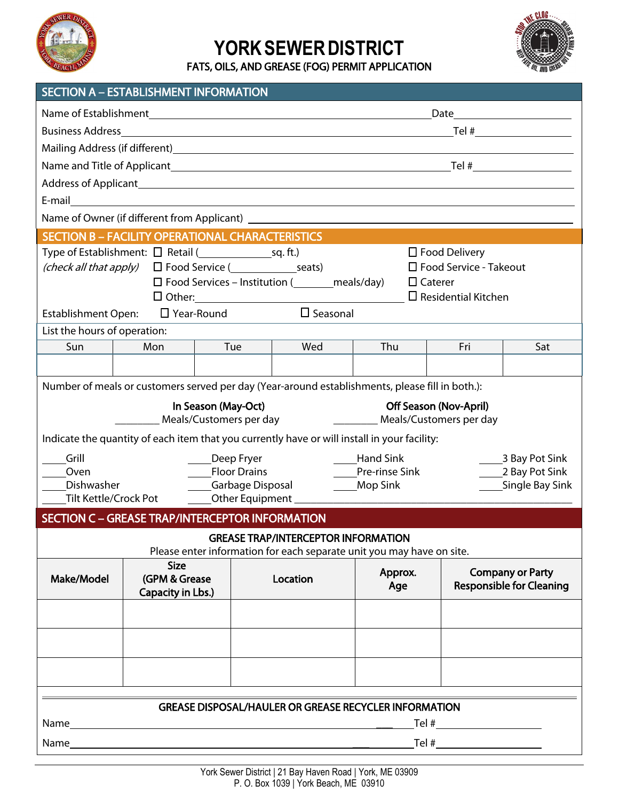

## YORK SEWER DISTRICT

**FATS, OILS, AND GREASE (FOG) PERMIT APPLICATION**



| <b>SECTION A – ESTABLISHMENT INFORMATION</b> |  |  |
|----------------------------------------------|--|--|
|                                              |  |  |
|                                              |  |  |

|                                                                                                                                       |                                    |                         |                                                       |                                                                            | Date                    | <u> 1980 - Johann Barbara, martxa a</u> |  |  |
|---------------------------------------------------------------------------------------------------------------------------------------|------------------------------------|-------------------------|-------------------------------------------------------|----------------------------------------------------------------------------|-------------------------|-----------------------------------------|--|--|
|                                                                                                                                       |                                    |                         |                                                       |                                                                            |                         |                                         |  |  |
|                                                                                                                                       |                                    |                         |                                                       |                                                                            |                         |                                         |  |  |
|                                                                                                                                       |                                    |                         |                                                       |                                                                            |                         |                                         |  |  |
|                                                                                                                                       |                                    |                         |                                                       |                                                                            |                         |                                         |  |  |
|                                                                                                                                       |                                    |                         |                                                       |                                                                            |                         |                                         |  |  |
| Name of Owner (if different from Applicant) Name of Owner and the Contract of Owner (if different from Applicant)                     |                                    |                         |                                                       |                                                                            |                         |                                         |  |  |
| <b>SECTION B - FACILITY OPERATIONAL CHARACTERISTICS</b>                                                                               |                                    |                         |                                                       |                                                                            |                         |                                         |  |  |
| Type of Establishment: □ Retail ( settablishment: □ Retail ( settablishment: □ Retail ( settablishment: □ Retail ( settablishment: 0) |                                    |                         |                                                       | $\Box$ Food Delivery                                                       |                         |                                         |  |  |
| ( <i>check all that apply</i> ) $\Box$ Food Service ( Seats)                                                                          |                                    |                         |                                                       | $\Box$ Food Service - Takeout                                              |                         |                                         |  |  |
|                                                                                                                                       |                                    |                         |                                                       | $\Box$ Food Services – Institution ( ________ meals/day)<br>$\Box$ Caterer |                         |                                         |  |  |
|                                                                                                                                       |                                    |                         |                                                       | $\square$ Residential Kitchen                                              |                         |                                         |  |  |
| Establishment Open:                                                                                                                   | □ Year-Round                       |                         | $\square$ Seasonal                                    |                                                                            |                         |                                         |  |  |
| List the hours of operation:                                                                                                          |                                    |                         |                                                       |                                                                            |                         |                                         |  |  |
| Sun                                                                                                                                   | Mon                                | Tue                     | Wed                                                   | Thu                                                                        | Fri                     | Sat                                     |  |  |
|                                                                                                                                       |                                    |                         |                                                       |                                                                            |                         |                                         |  |  |
| Number of meals or customers served per day (Year-around establishments, please fill in both.):                                       |                                    |                         |                                                       |                                                                            |                         |                                         |  |  |
|                                                                                                                                       |                                    | In Season (May-Oct)     |                                                       | Off Season (Nov-April)                                                     |                         |                                         |  |  |
|                                                                                                                                       |                                    | Meals/Customers per day |                                                       |                                                                            | Meals/Customers per day |                                         |  |  |
| Indicate the quantity of each item that you currently have or will install in your facility:                                          |                                    |                         |                                                       |                                                                            |                         |                                         |  |  |
| Grill                                                                                                                                 |                                    | Deep Fryer              |                                                       | <b>Hand Sink</b>                                                           |                         | 3 Bay Pot Sink                          |  |  |
| Oven                                                                                                                                  |                                    | <b>Floor Drains</b>     |                                                       | Pre-rinse Sink                                                             |                         | 2 Bay Pot Sink                          |  |  |
| Dishwasher                                                                                                                            |                                    | _Garbage Disposal       |                                                       | _Mop Sink                                                                  |                         | Single Bay Sink                         |  |  |
| Tilt Kettle/Crock Pot                                                                                                                 |                                    |                         | Other Equipment ___________                           |                                                                            |                         |                                         |  |  |
| <b>SECTION C - GREASE TRAP/INTERCEPTOR INFORMATION</b>                                                                                |                                    |                         |                                                       |                                                                            |                         |                                         |  |  |
|                                                                                                                                       |                                    |                         | <b>GREASE TRAP/INTERCEPTOR INFORMATION</b>            |                                                                            |                         |                                         |  |  |
|                                                                                                                                       |                                    |                         |                                                       | Please enter information for each separate unit you may have on site.      |                         |                                         |  |  |
| <b>Size</b>                                                                                                                           |                                    |                         |                                                       | Approx.                                                                    |                         | <b>Company or Party</b>                 |  |  |
| Make/Model                                                                                                                            | (GPM & Grease<br>Capacity in Lbs.) |                         | Location                                              | Age                                                                        |                         | <b>Responsible for Cleaning</b>         |  |  |
|                                                                                                                                       |                                    |                         |                                                       |                                                                            |                         |                                         |  |  |
|                                                                                                                                       |                                    |                         |                                                       |                                                                            |                         |                                         |  |  |
|                                                                                                                                       |                                    |                         |                                                       |                                                                            |                         |                                         |  |  |
|                                                                                                                                       |                                    |                         |                                                       |                                                                            |                         |                                         |  |  |
|                                                                                                                                       |                                    |                         |                                                       |                                                                            |                         |                                         |  |  |
|                                                                                                                                       |                                    |                         |                                                       |                                                                            |                         |                                         |  |  |
|                                                                                                                                       |                                    |                         |                                                       | <b>GREASE DISPOSAL/HAULER OR GREASE RECYCLER INFORMATION</b>               |                         |                                         |  |  |
| Name                                                                                                                                  |                                    |                         | <u> 1980 - Andrea Stadt, fransk politik (d. 1980)</u> |                                                                            |                         |                                         |  |  |
| Name                                                                                                                                  |                                    |                         |                                                       |                                                                            |                         |                                         |  |  |